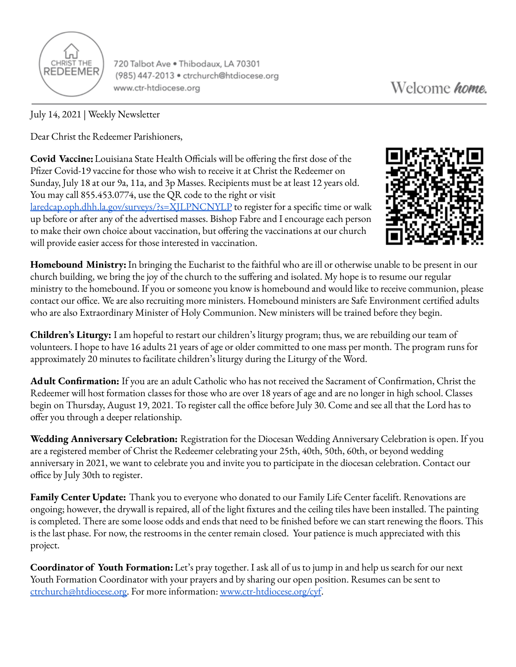

720 Talbot Ave . Thibodaux, LA 70301 (985) 447-2013 · ctrchurch@htdiocese.org www.ctr-htdiocese.org

July 14, 2021 | Weekly Newsletter

Dear Christ the Redeemer Parishioners,

**Covid Vaccine:**Louisiana State Health Officials will be offering the first dose of the Pfizer Covid-19 vaccine for those who wish to receive it at Christ the Redeemer on Sunday, July 18 at our 9a, 11a, and 3p Masses. Recipients must be at least 12 years old. You may call 855.453.0774, use the QR code to the right or visit [laredcap.oph.dhh.la.gov/surveys/?s=XJLPNCNYLP](https://laredcap.oph.dhh.la.gov/surveys/?s=XJLPNCNYLP) to register for a specific time or walk up before or after any of the advertised masses. Bishop Fabre and I encourage each person to make their own choice about vaccination, but offering the vaccinations at our church will provide easier access for those interested in vaccination.



**Homebound Ministry:** In bringing the Eucharist to the faithful who are ill or otherwise unable to be present in our church building, we bring the joy of the church to the suffering and isolated. My hope is to resume our regular ministry to the homebound. If you or someone you know is homebound and would like to receive communion, please contact our office. We are also recruiting more ministers. Homebound ministers are Safe Environment certified adults who are also Extraordinary Minister of Holy Communion. New ministers will be trained before they begin.

**Children's Liturgy:** I am hopeful to restart our children's liturgy program; thus, we are rebuilding our team of volunteers. I hope to have 16 adults 21 years of age or older committed to one mass per month. The program runs for approximately 20 minutes to facilitate children's liturgy during the Liturgy of the Word.

**Adult Confirmation:** If you are an adult Catholic who has not received the Sacrament of Confirmation, Christ the Redeemer will host formation classes for those who are over 18 years of age and are no longer in high school. Classes begin on Thursday, August 19, 2021. To register call the office before July 30. Come and see all that the Lord has to offer you through a deeper relationship.

**Wedding Anniversary Celebration:** Registration for the Diocesan Wedding Anniversary Celebration is open. If you are a registered member of Christ the Redeemer celebrating your 25th, 40th, 50th, 60th, or beyond wedding anniversary in 2021, we want to celebrate you and invite you to participate in the diocesan celebration. Contact our office by July 30th to register.

**Family Center Update:** Thank you to everyone who donated to our Family Life Center facelift. Renovations are ongoing; however, the drywall is repaired, all of the light fixtures and the ceiling tiles have been installed. The painting is completed. There are some loose odds and ends that need to be finished before we can start renewing the floors. This is the last phase. For now, the restrooms in the center remain closed. Your patience is much appreciated with this project.

**Coordinator of Youth Formation:**Let's pray together. I ask all of us to jump in and help us search for our next Youth Formation Coordinator with your prayers and by sharing our open position. Resumes can be sent to [ctrchurch@htdiocese.org.](mailto:ctrchurch@htdiocese.org) For more information: [www.ctr-htdiocese.org/cyf](http://www.ctr-htdiocese.org/cyf).